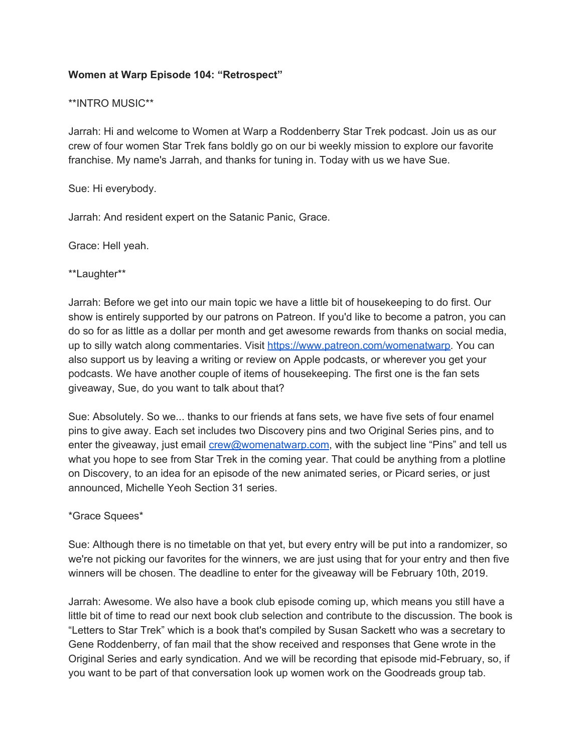### **Women at Warp Episode 104: "Retrospect"**

### \*\*INTRO MUSIC\*\*

Jarrah: Hi and welcome to Women at Warp a Roddenberry Star Trek podcast. Join us as our crew of four women Star Trek fans boldly go on our bi weekly mission to explore our favorite franchise. My name's Jarrah, and thanks for tuning in. Today with us we have Sue.

Sue: Hi everybody.

Jarrah: And resident expert on the Satanic Panic, Grace.

Grace: Hell yeah.

\*\*Laughter\*\*

Jarrah: Before we get into our main topic we have a little bit of housekeeping to do first. Our show is entirely supported by our patrons on Patreon. If you'd like to become a patron, you can do so for as little as a dollar per month and get awesome rewards from thanks on social media, up to silly watch along commentaries. Visit [https://www.patreon.com/womenatwarp.](https://www.patreon.com/womenatwarp) You can also support us by leaving a writing or review on Apple podcasts, or wherever you get your podcasts. We have another couple of items of housekeeping. The first one is the fan sets giveaway, Sue, do you want to talk about that?

Sue: Absolutely. So we... thanks to our friends at fans sets, we have five sets of four enamel pins to give away. Each set includes two Discovery pins and two Original Series pins, and to enter the giveaway, just email [crew@womenatwarp.com](mailto:crew@womenatwarp.com), with the subject line "Pins" and tell us what you hope to see from Star Trek in the coming year. That could be anything from a plotline on Discovery, to an idea for an episode of the new animated series, or Picard series, or just announced, Michelle Yeoh Section 31 series.

### \*Grace Squees\*

Sue: Although there is no timetable on that yet, but every entry will be put into a randomizer, so we're not picking our favorites for the winners, we are just using that for your entry and then five winners will be chosen. The deadline to enter for the giveaway will be February 10th, 2019.

Jarrah: Awesome. We also have a book club episode coming up, which means you still have a little bit of time to read our next book club selection and contribute to the discussion. The book is "Letters to Star Trek" which is a book that's compiled by Susan Sackett who was a secretary to Gene Roddenberry, of fan mail that the show received and responses that Gene wrote in the Original Series and early syndication. And we will be recording that episode mid-February, so, if you want to be part of that conversation look up women work on the Goodreads group tab.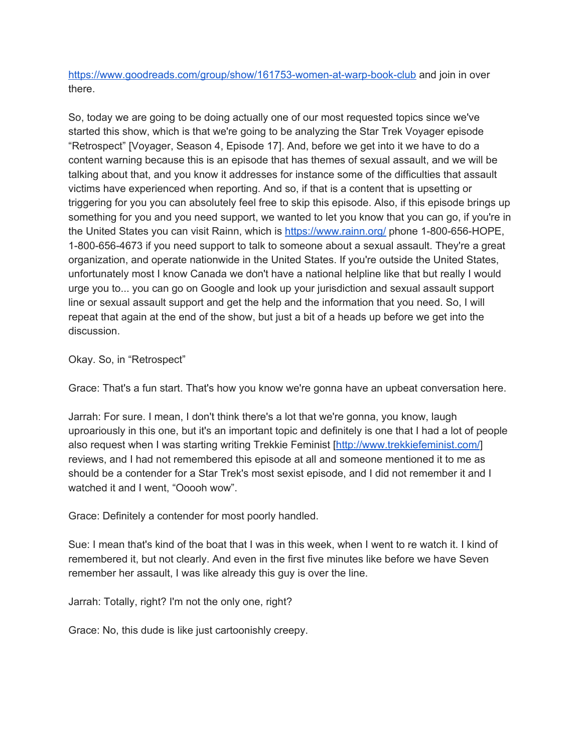<https://www.goodreads.com/group/show/161753-women-at-warp-book-club> and join in over there.

So, today we are going to be doing actually one of our most requested topics since we've started this show, which is that we're going to be analyzing the Star Trek Voyager episode "Retrospect" [Voyager, Season 4, Episode 17]. And, before we get into it we have to do a content warning because this is an episode that has themes of sexual assault, and we will be talking about that, and you know it addresses for instance some of the difficulties that assault victims have experienced when reporting. And so, if that is a content that is upsetting or triggering for you you can absolutely feel free to skip this episode. Also, if this episode brings up something for you and you need support, we wanted to let you know that you can go, if you're in the United States you can visit Rainn, which is <https://www.rainn.org/> phone 1-800-656-HOPE, 1-800-656-4673 if you need support to talk to someone about a sexual assault. They're a great organization, and operate nationwide in the United States. If you're outside the United States, unfortunately most I know Canada we don't have a national helpline like that but really I would urge you to... you can go on Google and look up your jurisdiction and sexual assault support line or sexual assault support and get the help and the information that you need. So, I will repeat that again at the end of the show, but just a bit of a heads up before we get into the discussion.

Okay. So, in "Retrospect"

Grace: That's a fun start. That's how you know we're gonna have an upbeat conversation here.

Jarrah: For sure. I mean, I don't think there's a lot that we're gonna, you know, laugh uproariously in this one, but it's an important topic and definitely is one that I had a lot of people also request when I was starting writing Trekkie Feminist [<http://www.trekkiefeminist.com/>] reviews, and I had not remembered this episode at all and someone mentioned it to me as should be a contender for a Star Trek's most sexist episode, and I did not remember it and I watched it and I went, "Ooooh wow".

Grace: Definitely a contender for most poorly handled.

Sue: I mean that's kind of the boat that I was in this week, when I went to re watch it. I kind of remembered it, but not clearly. And even in the first five minutes like before we have Seven remember her assault, I was like already this guy is over the line.

Jarrah: Totally, right? I'm not the only one, right?

Grace: No, this dude is like just cartoonishly creepy.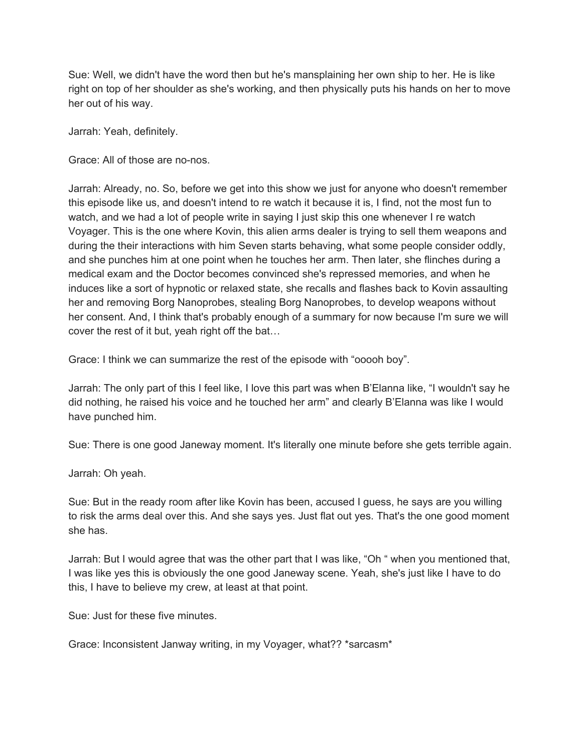Sue: Well, we didn't have the word then but he's mansplaining her own ship to her. He is like right on top of her shoulder as she's working, and then physically puts his hands on her to move her out of his way.

Jarrah: Yeah, definitely.

Grace: All of those are no-nos.

Jarrah: Already, no. So, before we get into this show we just for anyone who doesn't remember this episode like us, and doesn't intend to re watch it because it is, I find, not the most fun to watch, and we had a lot of people write in saying I just skip this one whenever I re watch Voyager. This is the one where Kovin, this alien arms dealer is trying to sell them weapons and during the their interactions with him Seven starts behaving, what some people consider oddly, and she punches him at one point when he touches her arm. Then later, she flinches during a medical exam and the Doctor becomes convinced she's repressed memories, and when he induces like a sort of hypnotic or relaxed state, she recalls and flashes back to Kovin assaulting her and removing Borg Nanoprobes, stealing Borg Nanoprobes, to develop weapons without her consent. And, I think that's probably enough of a summary for now because I'm sure we will cover the rest of it but, yeah right off the bat…

Grace: I think we can summarize the rest of the episode with "ooooh boy".

Jarrah: The only part of this I feel like, I love this part was when B'Elanna like, "I wouldn't say he did nothing, he raised his voice and he touched her arm" and clearly B'Elanna was like I would have punched him.

Sue: There is one good Janeway moment. It's literally one minute before she gets terrible again.

Jarrah: Oh yeah.

Sue: But in the ready room after like Kovin has been, accused I guess, he says are you willing to risk the arms deal over this. And she says yes. Just flat out yes. That's the one good moment she has.

Jarrah: But I would agree that was the other part that I was like, "Oh " when you mentioned that, I was like yes this is obviously the one good Janeway scene. Yeah, she's just like I have to do this, I have to believe my crew, at least at that point.

Sue: Just for these five minutes.

Grace: Inconsistent Janway writing, in my Voyager, what?? \*sarcasm\*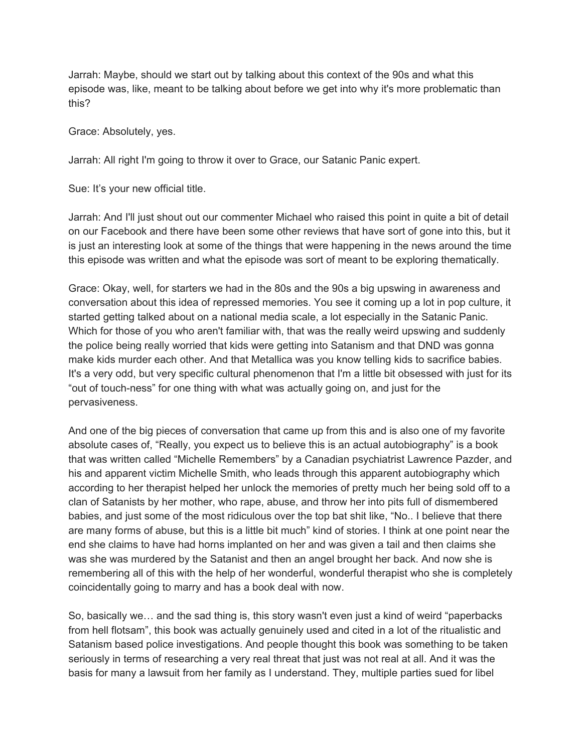Jarrah: Maybe, should we start out by talking about this context of the 90s and what this episode was, like, meant to be talking about before we get into why it's more problematic than this?

Grace: Absolutely, yes.

Jarrah: All right I'm going to throw it over to Grace, our Satanic Panic expert.

Sue: It's your new official title.

Jarrah: And I'll just shout out our commenter Michael who raised this point in quite a bit of detail on our Facebook and there have been some other reviews that have sort of gone into this, but it is just an interesting look at some of the things that were happening in the news around the time this episode was written and what the episode was sort of meant to be exploring thematically.

Grace: Okay, well, for starters we had in the 80s and the 90s a big upswing in awareness and conversation about this idea of repressed memories. You see it coming up a lot in pop culture, it started getting talked about on a national media scale, a lot especially in the Satanic Panic. Which for those of you who aren't familiar with, that was the really weird upswing and suddenly the police being really worried that kids were getting into Satanism and that DND was gonna make kids murder each other. And that Metallica was you know telling kids to sacrifice babies. It's a very odd, but very specific cultural phenomenon that I'm a little bit obsessed with just for its "out of touch-ness" for one thing with what was actually going on, and just for the pervasiveness.

And one of the big pieces of conversation that came up from this and is also one of my favorite absolute cases of, "Really, you expect us to believe this is an actual autobiography" is a book that was written called "Michelle Remembers" by a Canadian psychiatrist Lawrence Pazder, and his and apparent victim Michelle Smith, who leads through this apparent autobiography which according to her therapist helped her unlock the memories of pretty much her being sold off to a clan of Satanists by her mother, who rape, abuse, and throw her into pits full of dismembered babies, and just some of the most ridiculous over the top bat shit like, "No.. I believe that there are many forms of abuse, but this is a little bit much" kind of stories. I think at one point near the end she claims to have had horns implanted on her and was given a tail and then claims she was she was murdered by the Satanist and then an angel brought her back. And now she is remembering all of this with the help of her wonderful, wonderful therapist who she is completely coincidentally going to marry and has a book deal with now.

So, basically we… and the sad thing is, this story wasn't even just a kind of weird "paperbacks from hell flotsam", this book was actually genuinely used and cited in a lot of the ritualistic and Satanism based police investigations. And people thought this book was something to be taken seriously in terms of researching a very real threat that just was not real at all. And it was the basis for many a lawsuit from her family as I understand. They, multiple parties sued for libel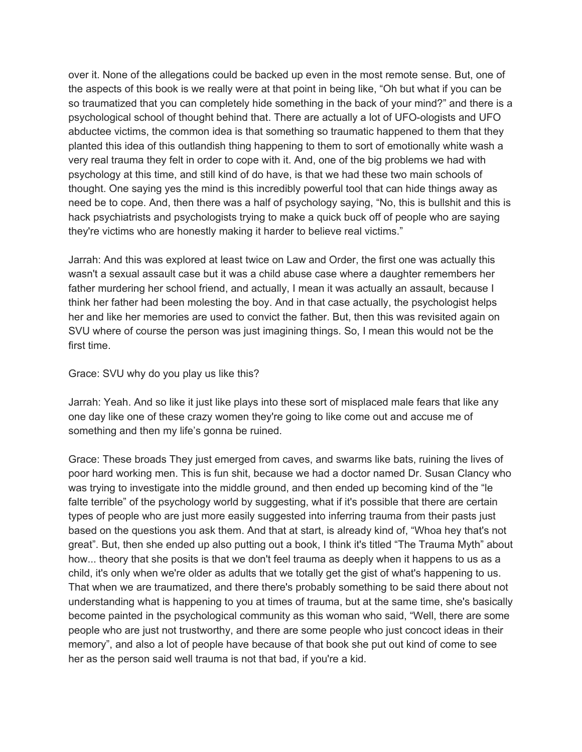over it. None of the allegations could be backed up even in the most remote sense. But, one of the aspects of this book is we really were at that point in being like, "Oh but what if you can be so traumatized that you can completely hide something in the back of your mind?" and there is a psychological school of thought behind that. There are actually a lot of UFO-ologists and UFO abductee victims, the common idea is that something so traumatic happened to them that they planted this idea of this outlandish thing happening to them to sort of emotionally white wash a very real trauma they felt in order to cope with it. And, one of the big problems we had with psychology at this time, and still kind of do have, is that we had these two main schools of thought. One saying yes the mind is this incredibly powerful tool that can hide things away as need be to cope. And, then there was a half of psychology saying, "No, this is bullshit and this is hack psychiatrists and psychologists trying to make a quick buck off of people who are saying they're victims who are honestly making it harder to believe real victims."

Jarrah: And this was explored at least twice on Law and Order, the first one was actually this wasn't a sexual assault case but it was a child abuse case where a daughter remembers her father murdering her school friend, and actually, I mean it was actually an assault, because I think her father had been molesting the boy. And in that case actually, the psychologist helps her and like her memories are used to convict the father. But, then this was revisited again on SVU where of course the person was just imagining things. So, I mean this would not be the first time.

Grace: SVU why do you play us like this?

Jarrah: Yeah. And so like it just like plays into these sort of misplaced male fears that like any one day like one of these crazy women they're going to like come out and accuse me of something and then my life's gonna be ruined.

Grace: These broads They just emerged from caves, and swarms like bats, ruining the lives of poor hard working men. This is fun shit, because we had a doctor named Dr. Susan Clancy who was trying to investigate into the middle ground, and then ended up becoming kind of the "le falte terrible" of the psychology world by suggesting, what if it's possible that there are certain types of people who are just more easily suggested into inferring trauma from their pasts just based on the questions you ask them. And that at start, is already kind of, "Whoa hey that's not great". But, then she ended up also putting out a book, I think it's titled "The Trauma Myth" about how... theory that she posits is that we don't feel trauma as deeply when it happens to us as a child, it's only when we're older as adults that we totally get the gist of what's happening to us. That when we are traumatized, and there there's probably something to be said there about not understanding what is happening to you at times of trauma, but at the same time, she's basically become painted in the psychological community as this woman who said, "Well, there are some people who are just not trustworthy, and there are some people who just concoct ideas in their memory", and also a lot of people have because of that book she put out kind of come to see her as the person said well trauma is not that bad, if you're a kid.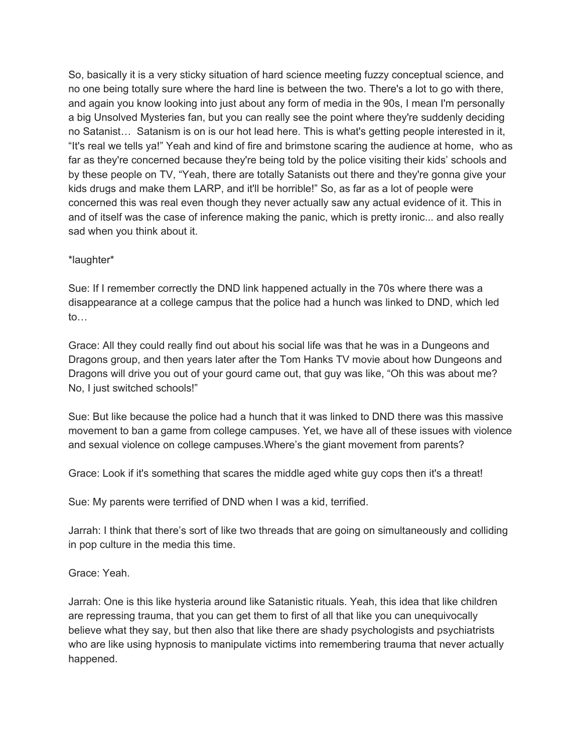So, basically it is a very sticky situation of hard science meeting fuzzy conceptual science, and no one being totally sure where the hard line is between the two. There's a lot to go with there, and again you know looking into just about any form of media in the 90s, I mean I'm personally a big Unsolved Mysteries fan, but you can really see the point where they're suddenly deciding no Satanist… Satanism is on is our hot lead here. This is what's getting people interested in it, "It's real we tells ya!" Yeah and kind of fire and brimstone scaring the audience at home, who as far as they're concerned because they're being told by the police visiting their kids' schools and by these people on TV, "Yeah, there are totally Satanists out there and they're gonna give your kids drugs and make them LARP, and it'll be horrible!" So, as far as a lot of people were concerned this was real even though they never actually saw any actual evidence of it. This in and of itself was the case of inference making the panic, which is pretty ironic... and also really sad when you think about it.

# \*laughter\*

Sue: If I remember correctly the DND link happened actually in the 70s where there was a disappearance at a college campus that the police had a hunch was linked to DND, which led to…

Grace: All they could really find out about his social life was that he was in a Dungeons and Dragons group, and then years later after the Tom Hanks TV movie about how Dungeons and Dragons will drive you out of your gourd came out, that guy was like, "Oh this was about me? No, I just switched schools!"

Sue: But like because the police had a hunch that it was linked to DND there was this massive movement to ban a game from college campuses. Yet, we have all of these issues with violence and sexual violence on college campuses.Where's the giant movement from parents?

Grace: Look if it's something that scares the middle aged white guy cops then it's a threat!

Sue: My parents were terrified of DND when I was a kid, terrified.

Jarrah: I think that there's sort of like two threads that are going on simultaneously and colliding in pop culture in the media this time.

Grace: Yeah.

Jarrah: One is this like hysteria around like Satanistic rituals. Yeah, this idea that like children are repressing trauma, that you can get them to first of all that like you can unequivocally believe what they say, but then also that like there are shady psychologists and psychiatrists who are like using hypnosis to manipulate victims into remembering trauma that never actually happened.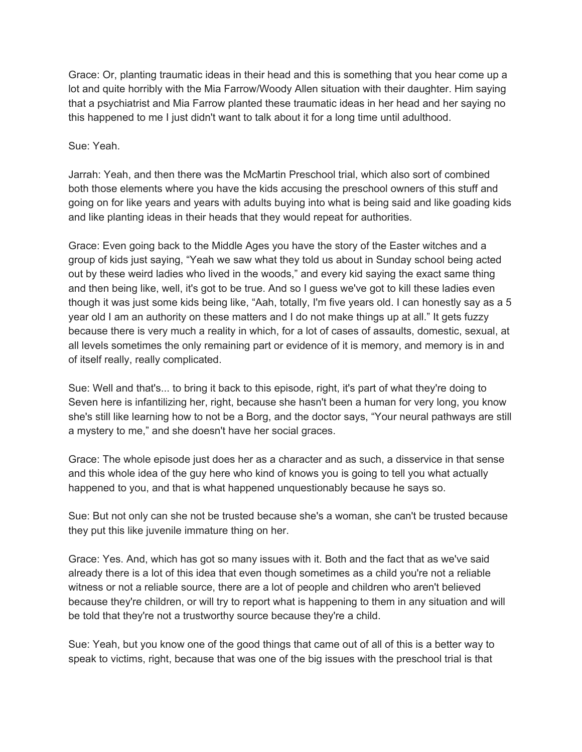Grace: Or, planting traumatic ideas in their head and this is something that you hear come up a lot and quite horribly with the Mia Farrow/Woody Allen situation with their daughter. Him saying that a psychiatrist and Mia Farrow planted these traumatic ideas in her head and her saying no this happened to me I just didn't want to talk about it for a long time until adulthood.

### Sue: Yeah.

Jarrah: Yeah, and then there was the McMartin Preschool trial, which also sort of combined both those elements where you have the kids accusing the preschool owners of this stuff and going on for like years and years with adults buying into what is being said and like goading kids and like planting ideas in their heads that they would repeat for authorities.

Grace: Even going back to the Middle Ages you have the story of the Easter witches and a group of kids just saying, "Yeah we saw what they told us about in Sunday school being acted out by these weird ladies who lived in the woods," and every kid saying the exact same thing and then being like, well, it's got to be true. And so I guess we've got to kill these ladies even though it was just some kids being like, "Aah, totally, I'm five years old. I can honestly say as a 5 year old I am an authority on these matters and I do not make things up at all." It gets fuzzy because there is very much a reality in which, for a lot of cases of assaults, domestic, sexual, at all levels sometimes the only remaining part or evidence of it is memory, and memory is in and of itself really, really complicated.

Sue: Well and that's... to bring it back to this episode, right, it's part of what they're doing to Seven here is infantilizing her, right, because she hasn't been a human for very long, you know she's still like learning how to not be a Borg, and the doctor says, "Your neural pathways are still a mystery to me," and she doesn't have her social graces.

Grace: The whole episode just does her as a character and as such, a disservice in that sense and this whole idea of the guy here who kind of knows you is going to tell you what actually happened to you, and that is what happened unquestionably because he says so.

Sue: But not only can she not be trusted because she's a woman, she can't be trusted because they put this like juvenile immature thing on her.

Grace: Yes. And, which has got so many issues with it. Both and the fact that as we've said already there is a lot of this idea that even though sometimes as a child you're not a reliable witness or not a reliable source, there are a lot of people and children who aren't believed because they're children, or will try to report what is happening to them in any situation and will be told that they're not a trustworthy source because they're a child.

Sue: Yeah, but you know one of the good things that came out of all of this is a better way to speak to victims, right, because that was one of the big issues with the preschool trial is that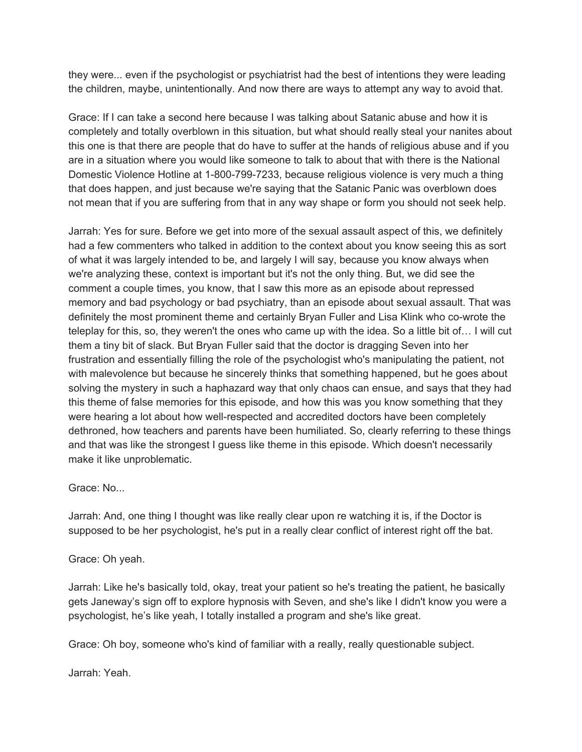they were... even if the psychologist or psychiatrist had the best of intentions they were leading the children, maybe, unintentionally. And now there are ways to attempt any way to avoid that.

Grace: If I can take a second here because I was talking about Satanic abuse and how it is completely and totally overblown in this situation, but what should really steal your nanites about this one is that there are people that do have to suffer at the hands of religious abuse and if you are in a situation where you would like someone to talk to about that with there is the National Domestic Violence Hotline at 1-800-799-7233, because religious violence is very much a thing that does happen, and just because we're saying that the Satanic Panic was overblown does not mean that if you are suffering from that in any way shape or form you should not seek help.

Jarrah: Yes for sure. Before we get into more of the sexual assault aspect of this, we definitely had a few commenters who talked in addition to the context about you know seeing this as sort of what it was largely intended to be, and largely I will say, because you know always when we're analyzing these, context is important but it's not the only thing. But, we did see the comment a couple times, you know, that I saw this more as an episode about repressed memory and bad psychology or bad psychiatry, than an episode about sexual assault. That was definitely the most prominent theme and certainly Bryan Fuller and Lisa Klink who co-wrote the teleplay for this, so, they weren't the ones who came up with the idea. So a little bit of… I will cut them a tiny bit of slack. But Bryan Fuller said that the doctor is dragging Seven into her frustration and essentially filling the role of the psychologist who's manipulating the patient, not with malevolence but because he sincerely thinks that something happened, but he goes about solving the mystery in such a haphazard way that only chaos can ensue, and says that they had this theme of false memories for this episode, and how this was you know something that they were hearing a lot about how well-respected and accredited doctors have been completely dethroned, how teachers and parents have been humiliated. So, clearly referring to these things and that was like the strongest I guess like theme in this episode. Which doesn't necessarily make it like unproblematic.

# Grace: No...

Jarrah: And, one thing I thought was like really clear upon re watching it is, if the Doctor is supposed to be her psychologist, he's put in a really clear conflict of interest right off the bat.

# Grace: Oh yeah.

Jarrah: Like he's basically told, okay, treat your patient so he's treating the patient, he basically gets Janeway's sign off to explore hypnosis with Seven, and she's like I didn't know you were a psychologist, he's like yeah, I totally installed a program and she's like great.

Grace: Oh boy, someone who's kind of familiar with a really, really questionable subject.

Jarrah: Yeah.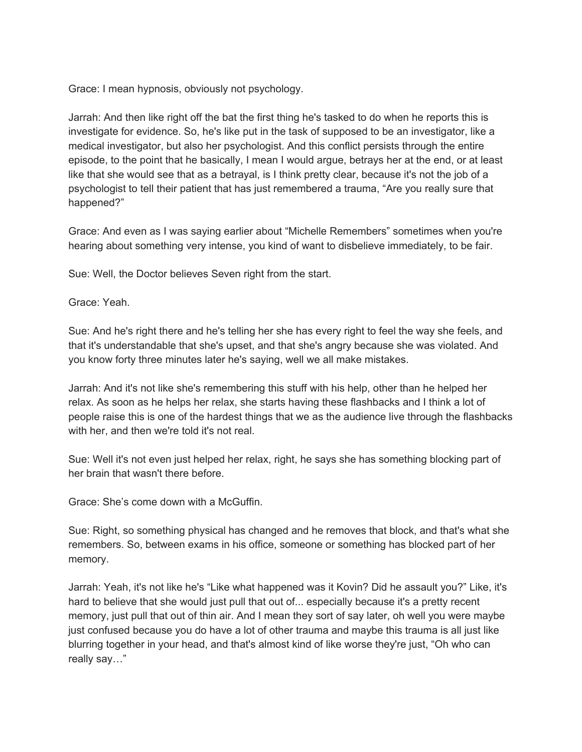Grace: I mean hypnosis, obviously not psychology.

Jarrah: And then like right off the bat the first thing he's tasked to do when he reports this is investigate for evidence. So, he's like put in the task of supposed to be an investigator, like a medical investigator, but also her psychologist. And this conflict persists through the entire episode, to the point that he basically, I mean I would argue, betrays her at the end, or at least like that she would see that as a betrayal, is I think pretty clear, because it's not the job of a psychologist to tell their patient that has just remembered a trauma, "Are you really sure that happened?"

Grace: And even as I was saying earlier about "Michelle Remembers" sometimes when you're hearing about something very intense, you kind of want to disbelieve immediately, to be fair.

Sue: Well, the Doctor believes Seven right from the start.

Grace: Yeah.

Sue: And he's right there and he's telling her she has every right to feel the way she feels, and that it's understandable that she's upset, and that she's angry because she was violated. And you know forty three minutes later he's saying, well we all make mistakes.

Jarrah: And it's not like she's remembering this stuff with his help, other than he helped her relax. As soon as he helps her relax, she starts having these flashbacks and I think a lot of people raise this is one of the hardest things that we as the audience live through the flashbacks with her, and then we're told it's not real.

Sue: Well it's not even just helped her relax, right, he says she has something blocking part of her brain that wasn't there before.

Grace: She's come down with a McGuffin.

Sue: Right, so something physical has changed and he removes that block, and that's what she remembers. So, between exams in his office, someone or something has blocked part of her memory.

Jarrah: Yeah, it's not like he's "Like what happened was it Kovin? Did he assault you?" Like, it's hard to believe that she would just pull that out of... especially because it's a pretty recent memory, just pull that out of thin air. And I mean they sort of say later, oh well you were maybe just confused because you do have a lot of other trauma and maybe this trauma is all just like blurring together in your head, and that's almost kind of like worse they're just, "Oh who can really say…"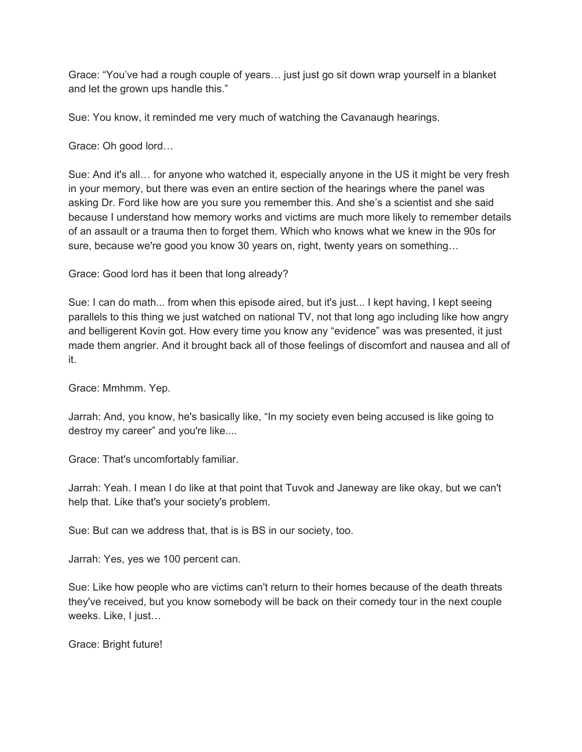Grace: "You've had a rough couple of years… just just go sit down wrap yourself in a blanket and let the grown ups handle this."

Sue: You know, it reminded me very much of watching the Cavanaugh hearings.

Grace: Oh good lord…

Sue: And it's all… for anyone who watched it, especially anyone in the US it might be very fresh in your memory, but there was even an entire section of the hearings where the panel was asking Dr. Ford like how are you sure you remember this. And she's a scientist and she said because I understand how memory works and victims are much more likely to remember details of an assault or a trauma then to forget them. Which who knows what we knew in the 90s for sure, because we're good you know 30 years on, right, twenty years on something...

Grace: Good lord has it been that long already?

Sue: I can do math... from when this episode aired, but it's just... I kept having, I kept seeing parallels to this thing we just watched on national TV, not that long ago including like how angry and belligerent Kovin got. How every time you know any "evidence" was was presented, it just made them angrier. And it brought back all of those feelings of discomfort and nausea and all of it.

Grace: Mmhmm. Yep.

Jarrah: And, you know, he's basically like, "In my society even being accused is like going to destroy my career" and you're like....

Grace: That's uncomfortably familiar.

Jarrah: Yeah. I mean I do like at that point that Tuvok and Janeway are like okay, but we can't help that. Like that's your society's problem.

Sue: But can we address that, that is is BS in our society, too.

Jarrah: Yes, yes we 100 percent can.

Sue: Like how people who are victims can't return to their homes because of the death threats they've received, but you know somebody will be back on their comedy tour in the next couple weeks. Like, I just…

Grace: Bright future!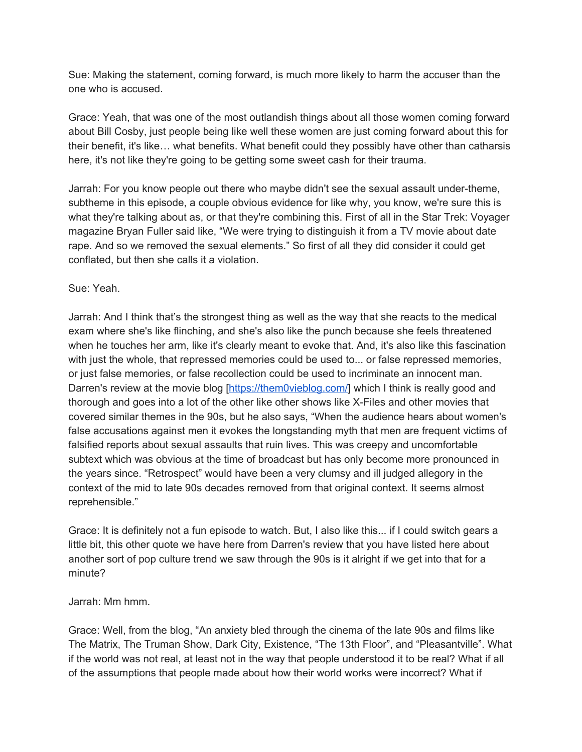Sue: Making the statement, coming forward, is much more likely to harm the accuser than the one who is accused.

Grace: Yeah, that was one of the most outlandish things about all those women coming forward about Bill Cosby, just people being like well these women are just coming forward about this for their benefit, it's like… what benefits. What benefit could they possibly have other than catharsis here, it's not like they're going to be getting some sweet cash for their trauma.

Jarrah: For you know people out there who maybe didn't see the sexual assault under-theme, subtheme in this episode, a couple obvious evidence for like why, you know, we're sure this is what they're talking about as, or that they're combining this. First of all in the Star Trek: Voyager magazine Bryan Fuller said like, "We were trying to distinguish it from a TV movie about date rape. And so we removed the sexual elements." So first of all they did consider it could get conflated, but then she calls it a violation.

## Sue: Yeah.

Jarrah: And I think that's the strongest thing as well as the way that she reacts to the medical exam where she's like flinching, and she's also like the punch because she feels threatened when he touches her arm, like it's clearly meant to evoke that. And, it's also like this fascination with just the whole, that repressed memories could be used to... or false repressed memories, or just false memories, or false recollection could be used to incriminate an innocent man. Darren's review at the movie blog [<https://them0vieblog.com/>] which I think is really good and thorough and goes into a lot of the other like other shows like X-Files and other movies that covered similar themes in the 90s, but he also says, "When the audience hears about women's false accusations against men it evokes the longstanding myth that men are frequent victims of falsified reports about sexual assaults that ruin lives. This was creepy and uncomfortable subtext which was obvious at the time of broadcast but has only become more pronounced in the years since. "Retrospect" would have been a very clumsy and ill judged allegory in the context of the mid to late 90s decades removed from that original context. It seems almost reprehensible."

Grace: It is definitely not a fun episode to watch. But, I also like this... if I could switch gears a little bit, this other quote we have here from Darren's review that you have listed here about another sort of pop culture trend we saw through the 90s is it alright if we get into that for a minute?

# Jarrah: Mm hmm.

Grace: Well, from the blog, "An anxiety bled through the cinema of the late 90s and films like The Matrix, The Truman Show, Dark City, Existence, "The 13th Floor", and "Pleasantville". What if the world was not real, at least not in the way that people understood it to be real? What if all of the assumptions that people made about how their world works were incorrect? What if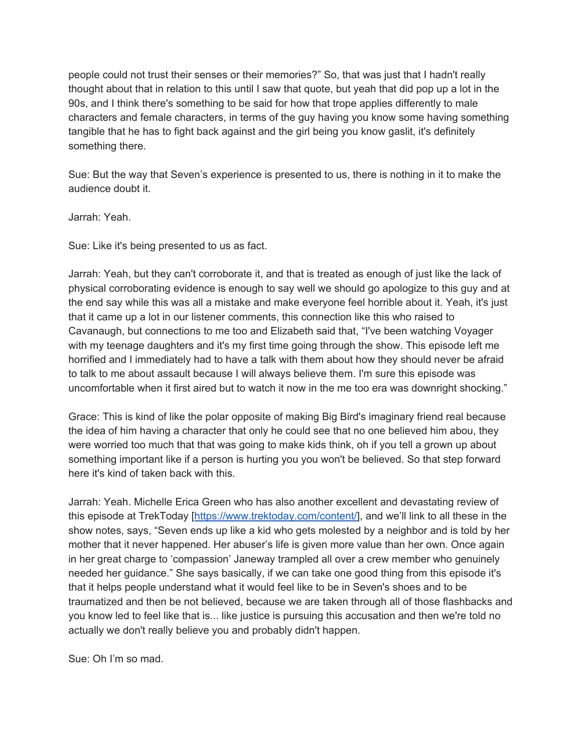people could not trust their senses or their memories?" So, that was just that I hadn't really thought about that in relation to this until I saw that quote, but yeah that did pop up a lot in the 90s, and I think there's something to be said for how that trope applies differently to male characters and female characters, in terms of the guy having you know some having something tangible that he has to fight back against and the girl being you know gaslit, it's definitely something there.

Sue: But the way that Seven's experience is presented to us, there is nothing in it to make the audience doubt it.

## Jarrah: Yeah.

Sue: Like it's being presented to us as fact.

Jarrah: Yeah, but they can't corroborate it, and that is treated as enough of just like the lack of physical corroborating evidence is enough to say well we should go apologize to this guy and at the end say while this was all a mistake and make everyone feel horrible about it. Yeah, it's just that it came up a lot in our listener comments, this connection like this who raised to Cavanaugh, but connections to me too and Elizabeth said that, "I've been watching Voyager with my teenage daughters and it's my first time going through the show. This episode left me horrified and I immediately had to have a talk with them about how they should never be afraid to talk to me about assault because I will always believe them. I'm sure this episode was uncomfortable when it first aired but to watch it now in the me too era was downright shocking."

Grace: This is kind of like the polar opposite of making Big Bird's imaginary friend real because the idea of him having a character that only he could see that no one believed him abou, they were worried too much that that was going to make kids think, oh if you tell a grown up about something important like if a person is hurting you you won't be believed. So that step forward here it's kind of taken back with this.

Jarrah: Yeah. Michelle Erica Green who has also another excellent and devastating review of this episode at TrekToday [[https://www.trektoday.com/content/\]](https://www.trektoday.com/content/), and we'll link to all these in the show notes, says, "Seven ends up like a kid who gets molested by a neighbor and is told by her mother that it never happened. Her abuser's life is given more value than her own. Once again in her great charge to 'compassion' Janeway trampled all over a crew member who genuinely needed her guidance." She says basically, if we can take one good thing from this episode it's that it helps people understand what it would feel like to be in Seven's shoes and to be traumatized and then be not believed, because we are taken through all of those flashbacks and you know led to feel like that is... like justice is pursuing this accusation and then we're told no actually we don't really believe you and probably didn't happen.

Sue: Oh I'm so mad.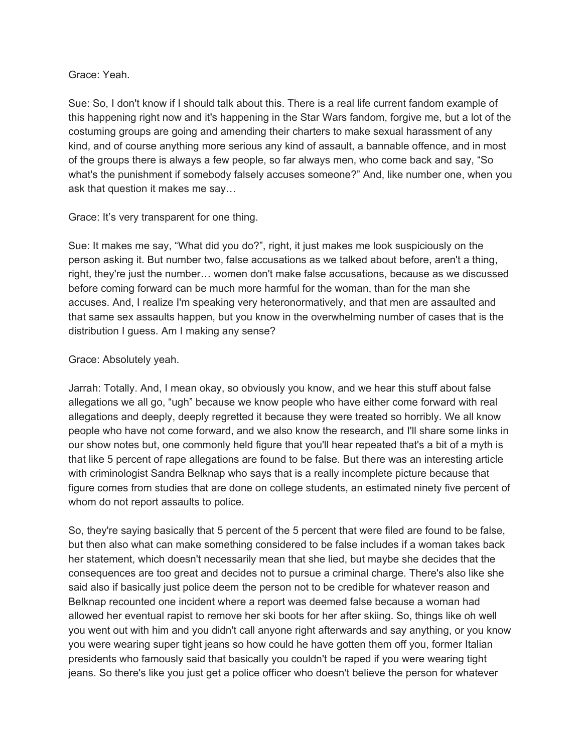### Grace: Yeah.

Sue: So, I don't know if I should talk about this. There is a real life current fandom example of this happening right now and it's happening in the Star Wars fandom, forgive me, but a lot of the costuming groups are going and amending their charters to make sexual harassment of any kind, and of course anything more serious any kind of assault, a bannable offence, and in most of the groups there is always a few people, so far always men, who come back and say, "So what's the punishment if somebody falsely accuses someone?" And, like number one, when you ask that question it makes me say…

Grace: It's very transparent for one thing.

Sue: It makes me say, "What did you do?", right, it just makes me look suspiciously on the person asking it. But number two, false accusations as we talked about before, aren't a thing, right, they're just the number… women don't make false accusations, because as we discussed before coming forward can be much more harmful for the woman, than for the man she accuses. And, I realize I'm speaking very heteronormatively, and that men are assaulted and that same sex assaults happen, but you know in the overwhelming number of cases that is the distribution I guess. Am I making any sense?

### Grace: Absolutely yeah.

Jarrah: Totally. And, I mean okay, so obviously you know, and we hear this stuff about false allegations we all go, "ugh" because we know people who have either come forward with real allegations and deeply, deeply regretted it because they were treated so horribly. We all know people who have not come forward, and we also know the research, and I'll share some links in our show notes but, one commonly held figure that you'll hear repeated that's a bit of a myth is that like 5 percent of rape allegations are found to be false. But there was an interesting article with criminologist Sandra Belknap who says that is a really incomplete picture because that figure comes from studies that are done on college students, an estimated ninety five percent of whom do not report assaults to police.

So, they're saying basically that 5 percent of the 5 percent that were filed are found to be false, but then also what can make something considered to be false includes if a woman takes back her statement, which doesn't necessarily mean that she lied, but maybe she decides that the consequences are too great and decides not to pursue a criminal charge. There's also like she said also if basically just police deem the person not to be credible for whatever reason and Belknap recounted one incident where a report was deemed false because a woman had allowed her eventual rapist to remove her ski boots for her after skiing. So, things like oh well you went out with him and you didn't call anyone right afterwards and say anything, or you know you were wearing super tight jeans so how could he have gotten them off you, former Italian presidents who famously said that basically you couldn't be raped if you were wearing tight jeans. So there's like you just get a police officer who doesn't believe the person for whatever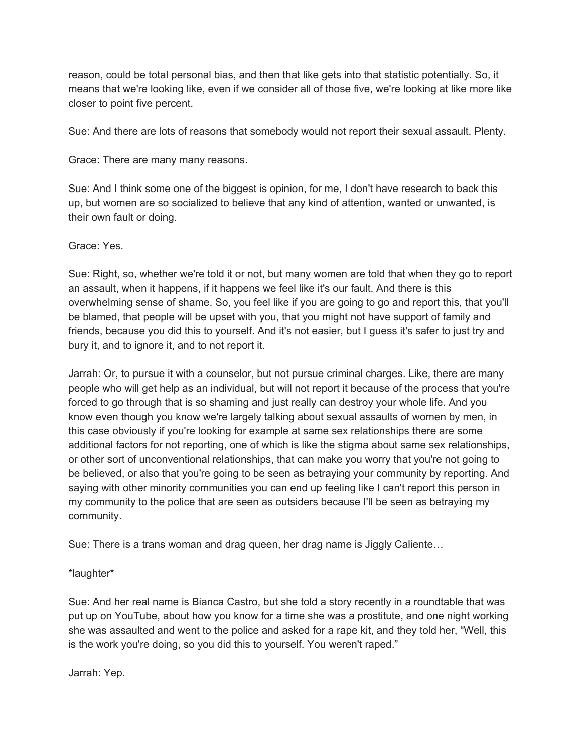reason, could be total personal bias, and then that like gets into that statistic potentially. So, it means that we're looking like, even if we consider all of those five, we're looking at like more like closer to point five percent.

Sue: And there are lots of reasons that somebody would not report their sexual assault. Plenty.

Grace: There are many many reasons.

Sue: And I think some one of the biggest is opinion, for me, I don't have research to back this up, but women are so socialized to believe that any kind of attention, wanted or unwanted, is their own fault or doing.

Grace: Yes.

Sue: Right, so, whether we're told it or not, but many women are told that when they go to report an assault, when it happens, if it happens we feel like it's our fault. And there is this overwhelming sense of shame. So, you feel like if you are going to go and report this, that you'll be blamed, that people will be upset with you, that you might not have support of family and friends, because you did this to yourself. And it's not easier, but I guess it's safer to just try and bury it, and to ignore it, and to not report it.

Jarrah: Or, to pursue it with a counselor, but not pursue criminal charges. Like, there are many people who will get help as an individual, but will not report it because of the process that you're forced to go through that is so shaming and just really can destroy your whole life. And you know even though you know we're largely talking about sexual assaults of women by men, in this case obviously if you're looking for example at same sex relationships there are some additional factors for not reporting, one of which is like the stigma about same sex relationships, or other sort of unconventional relationships, that can make you worry that you're not going to be believed, or also that you're going to be seen as betraying your community by reporting. And saying with other minority communities you can end up feeling like I can't report this person in my community to the police that are seen as outsiders because I'll be seen as betraying my community.

Sue: There is a trans woman and drag queen, her drag name is Jiggly Caliente…

\*laughter\*

Sue: And her real name is Bianca Castro, but she told a story recently in a roundtable that was put up on YouTube, about how you know for a time she was a prostitute, and one night working she was assaulted and went to the police and asked for a rape kit, and they told her, "Well, this is the work you're doing, so you did this to yourself. You weren't raped."

Jarrah: Yep.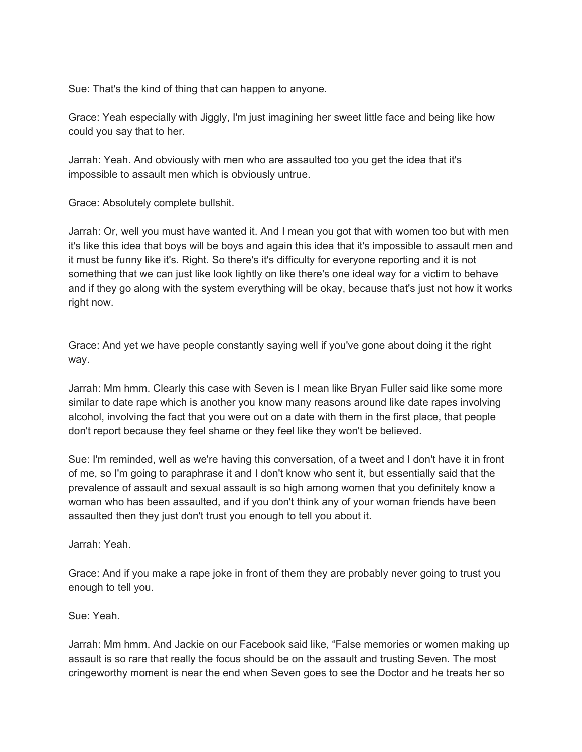Sue: That's the kind of thing that can happen to anyone.

Grace: Yeah especially with Jiggly, I'm just imagining her sweet little face and being like how could you say that to her.

Jarrah: Yeah. And obviously with men who are assaulted too you get the idea that it's impossible to assault men which is obviously untrue.

Grace: Absolutely complete bullshit.

Jarrah: Or, well you must have wanted it. And I mean you got that with women too but with men it's like this idea that boys will be boys and again this idea that it's impossible to assault men and it must be funny like it's. Right. So there's it's difficulty for everyone reporting and it is not something that we can just like look lightly on like there's one ideal way for a victim to behave and if they go along with the system everything will be okay, because that's just not how it works right now.

Grace: And yet we have people constantly saying well if you've gone about doing it the right way.

Jarrah: Mm hmm. Clearly this case with Seven is I mean like Bryan Fuller said like some more similar to date rape which is another you know many reasons around like date rapes involving alcohol, involving the fact that you were out on a date with them in the first place, that people don't report because they feel shame or they feel like they won't be believed.

Sue: I'm reminded, well as we're having this conversation, of a tweet and I don't have it in front of me, so I'm going to paraphrase it and I don't know who sent it, but essentially said that the prevalence of assault and sexual assault is so high among women that you definitely know a woman who has been assaulted, and if you don't think any of your woman friends have been assaulted then they just don't trust you enough to tell you about it.

Jarrah: Yeah.

Grace: And if you make a rape joke in front of them they are probably never going to trust you enough to tell you.

Sue: Yeah.

Jarrah: Mm hmm. And Jackie on our Facebook said like, "False memories or women making up assault is so rare that really the focus should be on the assault and trusting Seven. The most cringeworthy moment is near the end when Seven goes to see the Doctor and he treats her so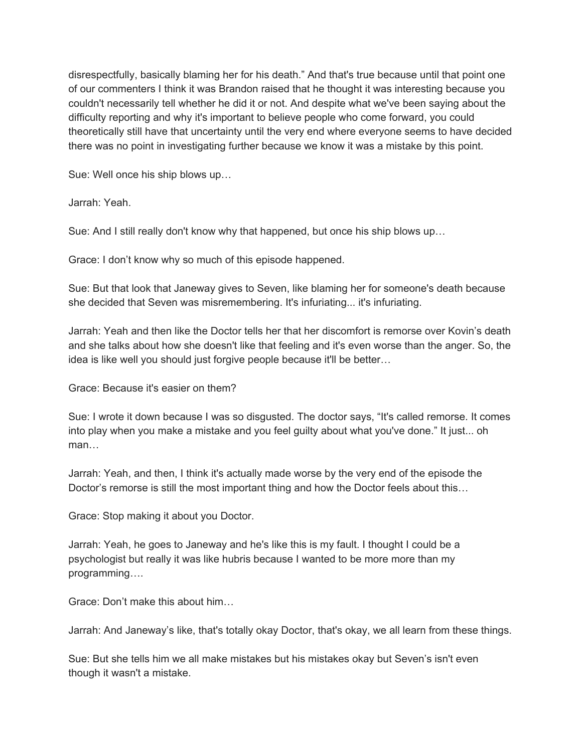disrespectfully, basically blaming her for his death." And that's true because until that point one of our commenters I think it was Brandon raised that he thought it was interesting because you couldn't necessarily tell whether he did it or not. And despite what we've been saying about the difficulty reporting and why it's important to believe people who come forward, you could theoretically still have that uncertainty until the very end where everyone seems to have decided there was no point in investigating further because we know it was a mistake by this point.

Sue: Well once his ship blows up…

Jarrah: Yeah.

Sue: And I still really don't know why that happened, but once his ship blows up…

Grace: I don't know why so much of this episode happened.

Sue: But that look that Janeway gives to Seven, like blaming her for someone's death because she decided that Seven was misremembering. It's infuriating... it's infuriating.

Jarrah: Yeah and then like the Doctor tells her that her discomfort is remorse over Kovin's death and she talks about how she doesn't like that feeling and it's even worse than the anger. So, the idea is like well you should just forgive people because it'll be better…

Grace: Because it's easier on them?

Sue: I wrote it down because I was so disgusted. The doctor says, "It's called remorse. It comes into play when you make a mistake and you feel guilty about what you've done." It just... oh man…

Jarrah: Yeah, and then, I think it's actually made worse by the very end of the episode the Doctor's remorse is still the most important thing and how the Doctor feels about this…

Grace: Stop making it about you Doctor.

Jarrah: Yeah, he goes to Janeway and he's like this is my fault. I thought I could be a psychologist but really it was like hubris because I wanted to be more more than my programming….

Grace: Don't make this about him…

Jarrah: And Janeway's like, that's totally okay Doctor, that's okay, we all learn from these things.

Sue: But she tells him we all make mistakes but his mistakes okay but Seven's isn't even though it wasn't a mistake.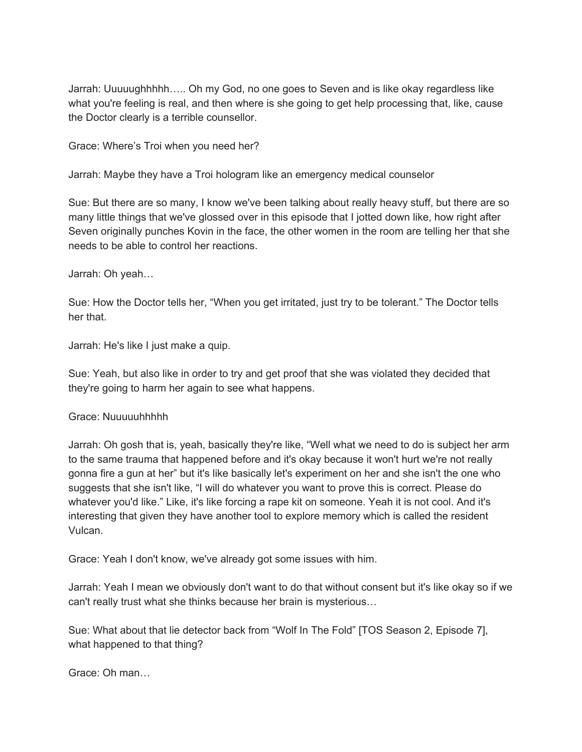Jarrah: Uuuuughhhhh….. Oh my God, no one goes to Seven and is like okay regardless like what you're feeling is real, and then where is she going to get help processing that, like, cause the Doctor clearly is a terrible counsellor.

Grace: Where's Troi when you need her?

Jarrah: Maybe they have a Troi hologram like an emergency medical counselor

Sue: But there are so many, I know we've been talking about really heavy stuff, but there are so many little things that we've glossed over in this episode that I jotted down like, how right after Seven originally punches Kovin in the face, the other women in the room are telling her that she needs to be able to control her reactions.

Jarrah: Oh yeah…

Sue: How the Doctor tells her, "When you get irritated, just try to be tolerant." The Doctor tells her that.

Jarrah: He's like I just make a quip.

Sue: Yeah, but also like in order to try and get proof that she was violated they decided that they're going to harm her again to see what happens.

Grace: Nuuuuuhhhhh

Jarrah: Oh gosh that is, yeah, basically they're like, "Well what we need to do is subject her arm to the same trauma that happened before and it's okay because it won't hurt we're not really gonna fire a gun at her" but it's like basically let's experiment on her and she isn't the one who suggests that she isn't like, "I will do whatever you want to prove this is correct. Please do whatever you'd like." Like, it's like forcing a rape kit on someone. Yeah it is not cool. And it's interesting that given they have another tool to explore memory which is called the resident Vulcan.

Grace: Yeah I don't know, we've already got some issues with him.

Jarrah: Yeah I mean we obviously don't want to do that without consent but it's like okay so if we can't really trust what she thinks because her brain is mysterious…

Sue: What about that lie detector back from "Wolf In The Fold" [TOS Season 2, Episode 7], what happened to that thing?

Grace: Oh man…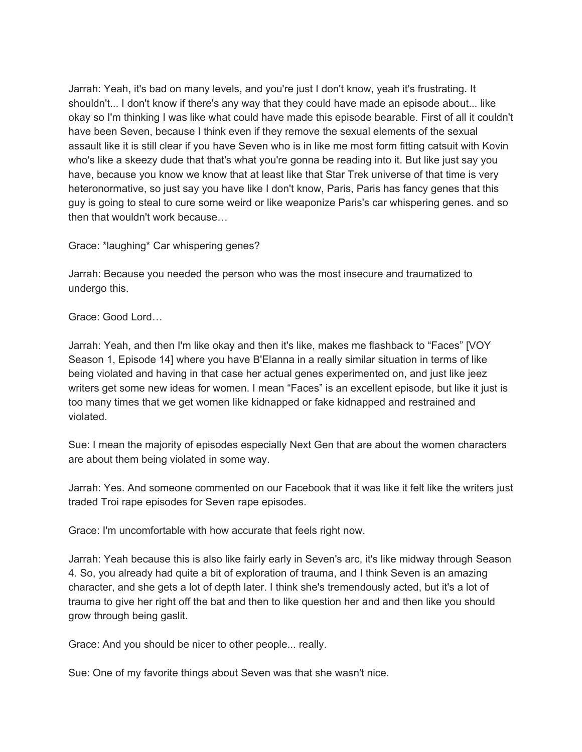Jarrah: Yeah, it's bad on many levels, and you're just I don't know, yeah it's frustrating. It shouldn't... I don't know if there's any way that they could have made an episode about... like okay so I'm thinking I was like what could have made this episode bearable. First of all it couldn't have been Seven, because I think even if they remove the sexual elements of the sexual assault like it is still clear if you have Seven who is in like me most form fitting catsuit with Kovin who's like a skeezy dude that that's what you're gonna be reading into it. But like just say you have, because you know we know that at least like that Star Trek universe of that time is very heteronormative, so just say you have like I don't know, Paris, Paris has fancy genes that this guy is going to steal to cure some weird or like weaponize Paris's car whispering genes. and so then that wouldn't work because…

Grace: \*laughing\* Car whispering genes?

Jarrah: Because you needed the person who was the most insecure and traumatized to undergo this.

Grace: Good Lord…

Jarrah: Yeah, and then I'm like okay and then it's like, makes me flashback to "Faces" [VOY Season 1, Episode 14] where you have B'Elanna in a really similar situation in terms of like being violated and having in that case her actual genes experimented on, and just like jeez writers get some new ideas for women. I mean "Faces" is an excellent episode, but like it just is too many times that we get women like kidnapped or fake kidnapped and restrained and violated.

Sue: I mean the majority of episodes especially Next Gen that are about the women characters are about them being violated in some way.

Jarrah: Yes. And someone commented on our Facebook that it was like it felt like the writers just traded Troi rape episodes for Seven rape episodes.

Grace: I'm uncomfortable with how accurate that feels right now.

Jarrah: Yeah because this is also like fairly early in Seven's arc, it's like midway through Season 4. So, you already had quite a bit of exploration of trauma, and I think Seven is an amazing character, and she gets a lot of depth later. I think she's tremendously acted, but it's a lot of trauma to give her right off the bat and then to like question her and and then like you should grow through being gaslit.

Grace: And you should be nicer to other people... really.

Sue: One of my favorite things about Seven was that she wasn't nice.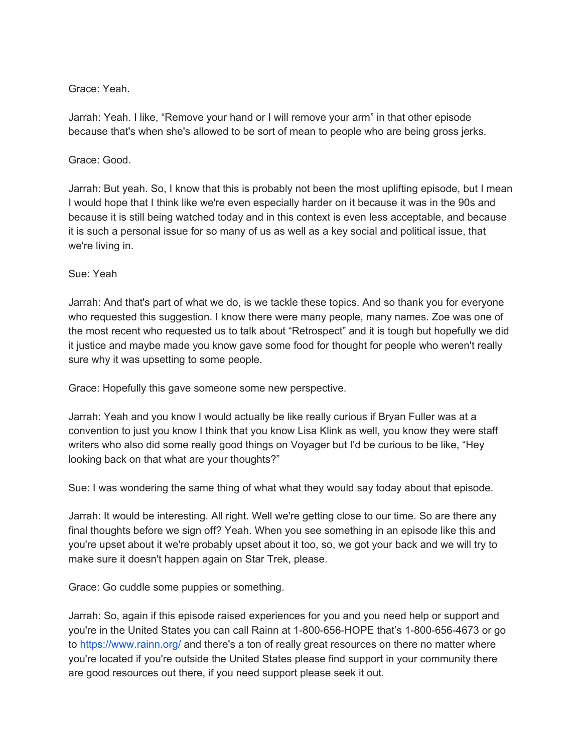## Grace: Yeah.

Jarrah: Yeah. I like, "Remove your hand or I will remove your arm" in that other episode because that's when she's allowed to be sort of mean to people who are being gross jerks.

### Grace: Good.

Jarrah: But yeah. So, I know that this is probably not been the most uplifting episode, but I mean I would hope that I think like we're even especially harder on it because it was in the 90s and because it is still being watched today and in this context is even less acceptable, and because it is such a personal issue for so many of us as well as a key social and political issue, that we're living in.

### Sue: Yeah

Jarrah: And that's part of what we do, is we tackle these topics. And so thank you for everyone who requested this suggestion. I know there were many people, many names. Zoe was one of the most recent who requested us to talk about "Retrospect" and it is tough but hopefully we did it justice and maybe made you know gave some food for thought for people who weren't really sure why it was upsetting to some people.

Grace: Hopefully this gave someone some new perspective.

Jarrah: Yeah and you know I would actually be like really curious if Bryan Fuller was at a convention to just you know I think that you know Lisa Klink as well, you know they were staff writers who also did some really good things on Voyager but I'd be curious to be like, "Hey looking back on that what are your thoughts?"

Sue: I was wondering the same thing of what what they would say today about that episode.

Jarrah: It would be interesting. All right. Well we're getting close to our time. So are there any final thoughts before we sign off? Yeah. When you see something in an episode like this and you're upset about it we're probably upset about it too, so, we got your back and we will try to make sure it doesn't happen again on Star Trek, please.

Grace: Go cuddle some puppies or something.

Jarrah: So, again if this episode raised experiences for you and you need help or support and you're in the United States you can call Rainn at 1-800-656-HOPE that's 1-800-656-4673 or go to <https://www.rainn.org/> and there's a ton of really great resources on there no matter where you're located if you're outside the United States please find support in your community there are good resources out there, if you need support please seek it out.